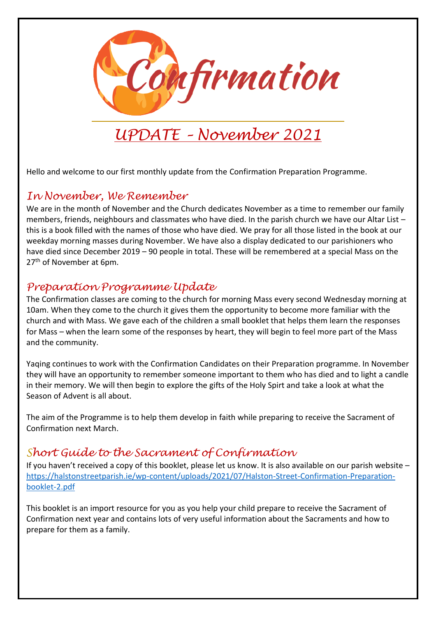

# *UPDATE – November 2021*

Hello and welcome to our first monthly update from the Confirmation Preparation Programme.

## *In November, We Remember*

We are in the month of November and the Church dedicates November as a time to remember our family members, friends, neighbours and classmates who have died. In the parish church we have our Altar List – this is a book filled with the names of those who have died. We pray for all those listed in the book at our weekday morning masses during November. We have also a display dedicated to our parishioners who have died since December 2019 – 90 people in total. These will be remembered at a special Mass on the 27<sup>th</sup> of November at 6pm.

#### *Preparation Programme Update*

The Confirmation classes are coming to the church for morning Mass every second Wednesday morning at 10am. When they come to the church it gives them the opportunity to become more familiar with the church and with Mass. We gave each of the children a small booklet that helps them learn the responses for Mass – when the learn some of the responses by heart, they will begin to feel more part of the Mass and the community.

Yaqing continues to work with the Confirmation Candidates on their Preparation programme. In November they will have an opportunity to remember someone important to them who has died and to light a candle in their memory. We will then begin to explore the gifts of the Holy Spirt and take a look at what the Season of Advent is all about.

The aim of the Programme is to help them develop in faith while preparing to receive the Sacrament of Confirmation next March.

### *Short Guide to the Sacrament of Confirmation*

If you haven't received a copy of this booklet, please let us know. It is also available on our parish website – [https://halstonstreetparish.ie/wp-content/uploads/2021/07/Halston-Street-Confirmation-Preparation](https://halstonstreetparish.ie/wp-content/uploads/2021/07/Halston-Street-Confirmation-Preparation-booklet-2.pdf)[booklet-2.pdf](https://halstonstreetparish.ie/wp-content/uploads/2021/07/Halston-Street-Confirmation-Preparation-booklet-2.pdf)

This booklet is an import resource for you as you help your child prepare to receive the Sacrament of Confirmation next year and contains lots of very useful information about the Sacraments and how to prepare for them as a family.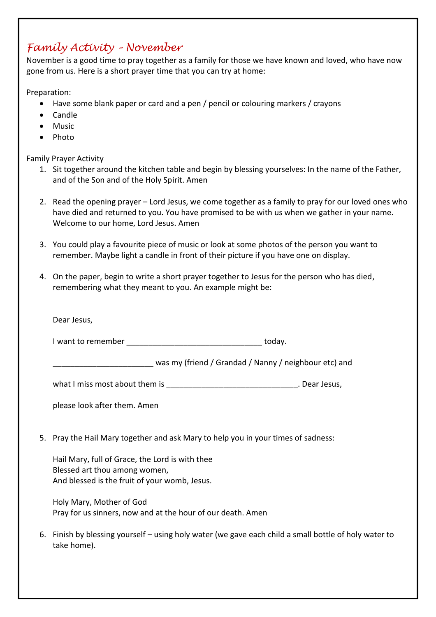## *Family Activity – November*

November is a good time to pray together as a family for those we have known and loved, who have now gone from us. Here is a short prayer time that you can try at home:

Preparation:

- Have some blank paper or card and a pen / pencil or colouring markers / crayons
- Candle
- Music
- Photo

Family Prayer Activity

- 1. Sit together around the kitchen table and begin by blessing yourselves: In the name of the Father, and of the Son and of the Holy Spirit. Amen
- 2. Read the opening prayer Lord Jesus, we come together as a family to pray for our loved ones who have died and returned to you. You have promised to be with us when we gather in your name. Welcome to our home, Lord Jesus. Amen
- 3. You could play a favourite piece of music or look at some photos of the person you want to remember. Maybe light a candle in front of their picture if you have one on display.
- 4. On the paper, begin to write a short prayer together to Jesus for the person who has died, remembering what they meant to you. An example might be:

| Dear Jesus,                                                                                                                       |        |
|-----------------------------------------------------------------------------------------------------------------------------------|--------|
|                                                                                                                                   | today. |
| was my (friend / Grandad / Nanny / neighbour etc) and                                                                             |        |
|                                                                                                                                   |        |
| please look after them. Amen                                                                                                      |        |
| 5. Pray the Hail Mary together and ask Mary to help you in your times of sadness:                                                 |        |
| Hail Mary, full of Grace, the Lord is with thee<br>Blessed art thou among women,<br>And blessed is the fruit of your womb, Jesus. |        |
| Holy Mary, Mother of God<br>Pray for us sinners, now and at the hour of our death. Amen                                           |        |

6. Finish by blessing yourself – using holy water (we gave each child a small bottle of holy water to take home).